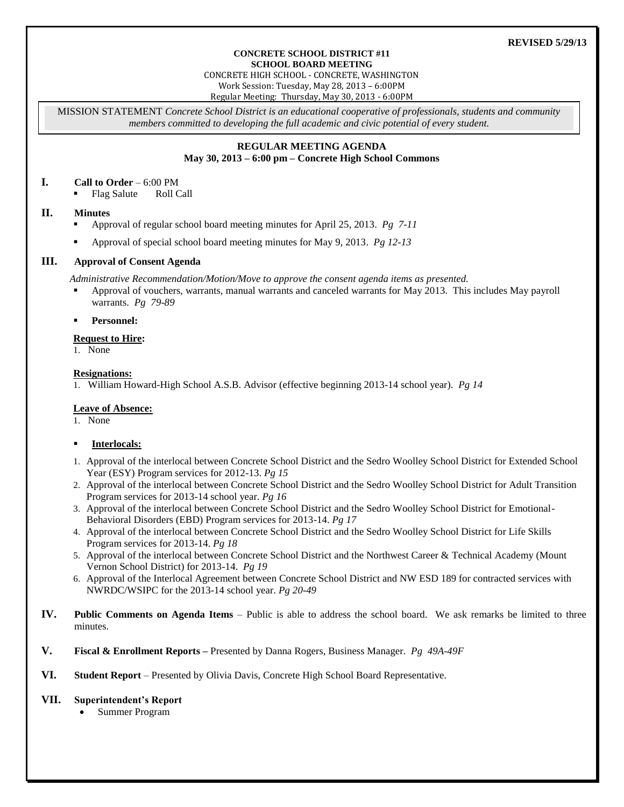## **REVISED 5/29/13**

#### **CONCRETE SCHOOL DISTRICT #11 SCHOOL BOARD MEETING**

CONCRETE HIGH SCHOOL - CONCRETE, WASHINGTON

Work Session: Tuesday, May 28, 2013 – 6:00PM

Regular Meeting: Thursday, May 30, 2013 - 6:00PM

MISSION STATEMENT *Concrete School District is an educational cooperative of professionals, students and community members committed to developing the full academic and civic potential of every student.*

## **REGULAR MEETING AGENDA May 30, 2013 – 6:00 pm – Concrete High School Commons**

#### **I. Call to Order** – 6:00 PM

Flag Salute Roll Call

## **II. Minutes**

- Approval of regular school board meeting minutes for April 25, 2013. *Pg 7-11*
- Approval of special school board meeting minutes for May 9, 2013. *Pg 12-13*

# **III. Approval of Consent Agenda**

*Administrative Recommendation/Motion/Move to approve the consent agenda items as presented.*

 Approval of vouchers, warrants, manual warrants and canceled warrants for May 2013. This includes May payroll warrants. *Pg 79-89*

## **Personnel:**

## **Request to Hire:**

1. None

## **Resignations:**

1. William Howard-High School A.S.B. Advisor (effective beginning 2013-14 school year). *Pg 14*

## **Leave of Absence:**

1. None

## **Interlocals:**

- 1. Approval of the interlocal between Concrete School District and the Sedro Woolley School District for Extended School Year (ESY) Program services for 2012-13. *Pg 15*
- 2. Approval of the interlocal between Concrete School District and the Sedro Woolley School District for Adult Transition Program services for 2013-14 school year. *Pg 16*
- 3. Approval of the interlocal between Concrete School District and the Sedro Woolley School District for Emotional-Behavioral Disorders (EBD) Program services for 2013-14. *Pg 17*
- 4. Approval of the interlocal between Concrete School District and the Sedro Woolley School District for Life Skills Program services for 2013-14. *Pg 18*
- 5. Approval of the interlocal between Concrete School District and the Northwest Career & Technical Academy (Mount Vernon School District) for 2013-14. *Pg 19*
- 6. Approval of the Interlocal Agreement between Concrete School District and NW ESD 189 for contracted services with NWRDC/WSIPC for the 2013-14 school year. *Pg 20-49*
- **IV. Public Comments on Agenda Items** Public is able to address the school board. We ask remarks be limited to three minutes.
- **V. Fiscal & Enrollment Reports –** Presented by Danna Rogers, Business Manager. *Pg 49A-49F*
- **VI. Student Report** Presented by Olivia Davis, Concrete High School Board Representative.

## **VII. Superintendent's Report**

Summer Program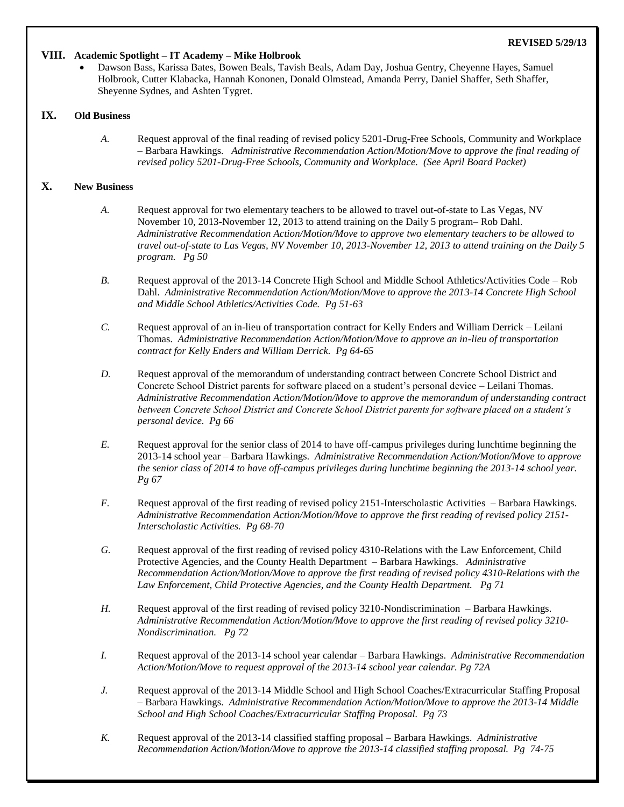## **REVISED 5/29/13**

## **VIII. Academic Spotlight – IT Academy – Mike Holbrook**

 Dawson Bass, Karissa Bates, Bowen Beals, Tavish Beals, Adam Day, Joshua Gentry, Cheyenne Hayes, Samuel Holbrook, Cutter Klabacka, Hannah Kononen, Donald Olmstead, Amanda Perry, Daniel Shaffer, Seth Shaffer, Sheyenne Sydnes, and Ashten Tygret.

# **IX. Old Business**

*A.* Request approval of the final reading of revised policy 5201-Drug-Free Schools, Community and Workplace – Barbara Hawkings. *Administrative Recommendation Action/Motion/Move to approve the final reading of revised policy 5201-Drug-Free Schools, Community and Workplace. (See April Board Packet)*

## **X. New Business**

- *A.* Request approval for two elementary teachers to be allowed to travel out-of-state to Las Vegas, NV November 10, 2013-November 12, 2013 to attend training on the Daily 5 program– Rob Dahl. *Administrative Recommendation Action/Motion/Move to approve two elementary teachers to be allowed to travel out-of-state to Las Vegas, NV November 10, 2013-November 12, 2013 to attend training on the Daily 5 program. Pg 50*
- *B.* Request approval of the 2013-14 Concrete High School and Middle School Athletics/Activities Code Rob Dahl. *Administrative Recommendation Action/Motion/Move to approve the 2013-14 Concrete High School and Middle School Athletics/Activities Code. Pg 51-63*
- *C.* Request approval of an in-lieu of transportation contract for Kelly Enders and William Derrick Leilani Thomas. *Administrative Recommendation Action/Motion/Move to approve an in-lieu of transportation contract for Kelly Enders and William Derrick. Pg 64-65*
- *D.* Request approval of the memorandum of understanding contract between Concrete School District and Concrete School District parents for software placed on a student's personal device – Leilani Thomas. *Administrative Recommendation Action/Motion/Move to approve the memorandum of understanding contract between Concrete School District and Concrete School District parents for software placed on a student's personal device. Pg 66*
- *E.* Request approval for the senior class of 2014 to have off-campus privileges during lunchtime beginning the 2013-14 school year – Barbara Hawkings. *Administrative Recommendation Action/Motion/Move to approve the senior class of 2014 to have off-campus privileges during lunchtime beginning the 2013-14 school year. Pg 67*
- *F.* Request approval of the first reading of revised policy 2151-Interscholastic Activities Barbara Hawkings. *Administrative Recommendation Action/Motion/Move to approve the first reading of revised policy 2151- Interscholastic Activities. Pg 68-70*
- *G.* Request approval of the first reading of revised policy 4310-Relations with the Law Enforcement, Child Protective Agencies, and the County Health Department – Barbara Hawkings. *Administrative Recommendation Action/Motion/Move to approve the first reading of revised policy 4310-Relations with the Law Enforcement, Child Protective Agencies, and the County Health Department. Pg 71*
- *H.* Request approval of the first reading of revised policy 3210-Nondiscrimination Barbara Hawkings. *Administrative Recommendation Action/Motion/Move to approve the first reading of revised policy 3210- Nondiscrimination. Pg 72*
- *I.* Request approval of the 2013-14 school year calendar Barbara Hawkings. *Administrative Recommendation Action/Motion/Move to request approval of the 2013-14 school year calendar. Pg 72A*
- *J.* Request approval of the 2013-14 Middle School and High School Coaches/Extracurricular Staffing Proposal – Barbara Hawkings. *Administrative Recommendation Action/Motion/Move to approve the 2013-14 Middle School and High School Coaches/Extracurricular Staffing Proposal. Pg 73*
- *K.* Request approval of the 2013-14 classified staffing proposal Barbara Hawkings. *Administrative Recommendation Action/Motion/Move to approve the 2013-14 classified staffing proposal. Pg 74-75*